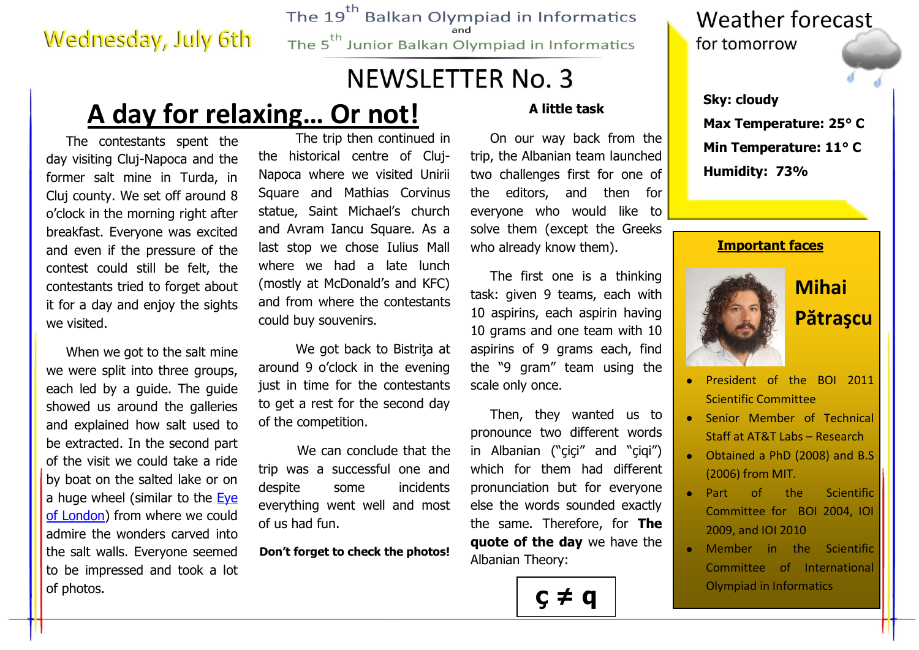### **Wednesday, July 6th**

The 19<sup>th</sup> Balkan Olympiad in Informatics The 5<sup>th</sup> Junior Balkan Olympiad in Informatics

### **NEWSLETTER No. 3**

# **A day for relaxing... Or not!** A little task sky: cloudy

The contestants spent the day visiting Cluj-Napoca and the former salt mine in Turda, in Cluj county. We set off around 8 o'clock in the morning right after breakfast. Everyone was excited and even if the pressure of the contest could still be felt, the contestants tried to forget about it for a day and enjoy the sights we visited.

When we got to the salt mine we were split into three groups, each led by a guide. The guide showed us around the galleries and explained how salt used to be extracted. In the second part of the visit we could take a ride by boat on the salted lake or on a huge wheel (similar to the Eye [of London\)](http://www.photoclub.eu/photogallery/data/520/Eye_on_London.jpg) from where we could admire the wonders carved into the salt walls. Everyone seemed to be impressed and took a lot of photos.

 The trip then continued in the historical centre of Cluj-Napoca where we visited Unirii Square and Mathias Corvinus statue, Saint Michael's church and Avram Iancu Square. As a last stop we chose Iulius Mall where we had a late lunch (mostly at McDonald's and KFC) and from where the contestants could buy souvenirs.

 We got back to Bistriţa at around 9 o'clock in the evening just in time for the contestants to get a rest for the second day of the competition.

We can conclude that the trip was a successful one and despite some incidents everything went well and most of us had fun.

**Don't forget to check the photos!**

#### **A little task**

On our way back from the trip, the Albanian team launched two challenges first for one of the editors, and then for everyone who would like to solve them (except the Greeks who already know them).

The first one is a thinking task: given 9 teams, each with 10 aspirins, each aspirin having 10 grams and one team with 10 aspirins of 9 grams each, find the "9 gram" team using the scale only once.

Then, they wanted us to pronounce two different words in Albanian ("çiçi" and "çiqi") which for them had different pronunciation but for everyone else the words sounded exactly the same. Therefore, for **The quote of the day** we have the Albanian Theory:



#### **Weather forecast** for tomorrow

**Max Temperature: 25° C Min Temperature: 11° C Humidity: 73%**

#### **Important faces**



### **Mihai Pătraşcu**

- President of the BOI 2011 Scientific Committee
- Senior Member of Technical Staff at AT&T Labs – Research
- Obtained a PhD (2008) and B.S (2006) from MIT.
- Part of the Scientific Committee for BOI 2004, IOI 2009, and IOI 2010
- Member in the Scientific Committee of International Olympiad in Informatics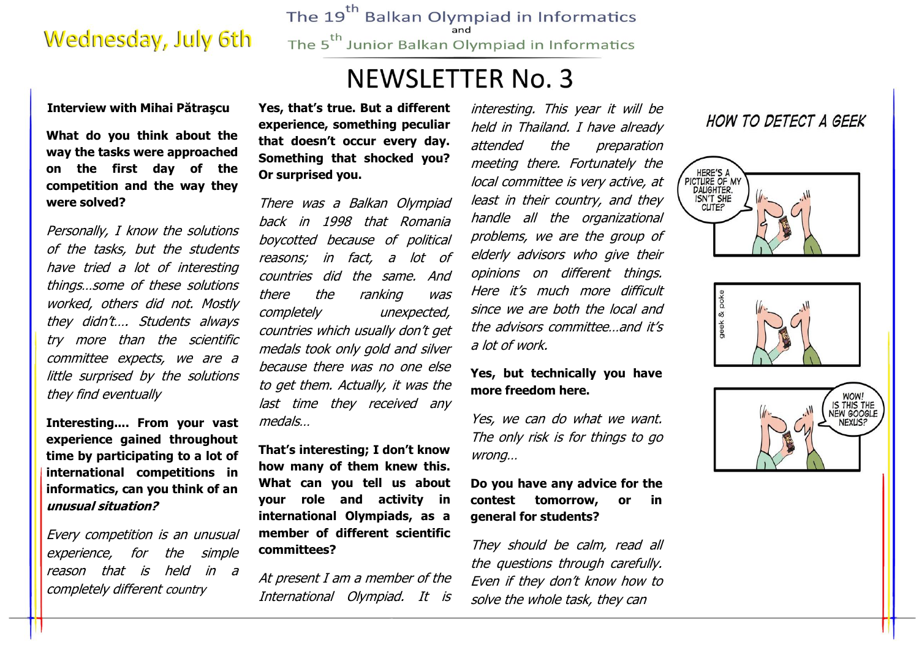## **Wednesday, July 6th**

The 19<sup>th</sup> Balkan Olympiad in Informatics The 5<sup>th</sup> Junior Balkan Olympiad in Informatics

## **NEWSLETTER No. 3**

#### **Interview with Mihai Pătraşcu**

**What do you think about the way the tasks were approached on the first day of the competition and the way they were solved?**

Personally, I know the solutions of the tasks, but the students have tried a lot of interesting things…some of these solutions worked, others did not. Mostly they didn't…. Students always try more than the scientific committee expects, we are a little surprised by the solutions they find eventually

**Interesting.... From your vast experience gained throughout time by participating to a lot of international competitions in informatics, can you think of an unusual situation?** 

Every competition is an unusual experience, for the simple reason that is held in a completely different country

**Yes, that's true. But a different experience, something peculiar that doesn't occur every day. Something that shocked you? Or surprised you.** 

There was a Balkan Olympiad back in 1998 that Romania boycotted because of political reasons; in fact, a lot of countries did the same. And there the ranking was completely unexpected, countries which usually don't get medals took only gold and silver because there was no one else to get them. Actually, it was the last time they received any medals…

**That's interesting; I don't know how many of them knew this. What can you tell us about your role and activity in international Olympiads, as a member of different scientific committees?** 

At present I am a member of the International Olympiad. It is

interesting. This year it will be held in Thailand. I have already attended the preparation meeting there. Fortunately the local committee is very active, at least in their country, and they handle all the organizational problems, we are the group of elderly advisors who give their opinions on different things. Here it's much more difficult since we are both the local and the advisors committee…and it's a lot of work.

#### **Yes, but technically you have more freedom here.**

Yes, we can do what we want. The only risk is for things to go wrong…

**Do you have any advice for the contest tomorrow, or in general for students?**

They should be calm, read all the questions through carefully. Even if they don't know how to solve the whole task, they can

#### HOW TO DETECT A GEEK